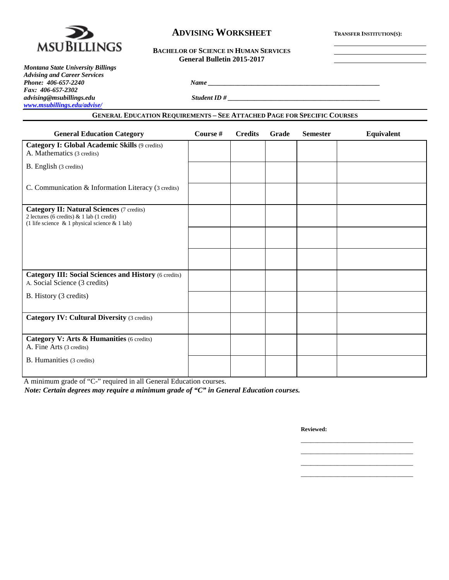

# **ADVISING WORKSHEET TRANSFER INSTITUTION(S):**

| <b>BACHELOR OF SCIENCE IN HUMAN SERVICES</b> |
|----------------------------------------------|
| <b>General Bulletin 2015-2017</b>            |

| <b>Montana State University Billings</b> |                                                                                                                                          |  |
|------------------------------------------|------------------------------------------------------------------------------------------------------------------------------------------|--|
| <b>Advising and Career Services</b>      |                                                                                                                                          |  |
| Phone: 406-657-2240                      | <b>Name</b>                                                                                                                              |  |
| Fax: $406-657-2302$                      |                                                                                                                                          |  |
| advising@msubillings.edu                 | Student ID#                                                                                                                              |  |
| www.msubillings.edu/advise/              |                                                                                                                                          |  |
|                                          | $0 \rightarrow \infty$ . There is no produced in the $0 \rightarrow 1 \rightarrow 1$ and $D$ and $D = 0 \rightarrow \infty$ . As we have |  |

### **GENERAL EDUCATION REQUIREMENTS – SEE ATTACHED PAGE FOR SPECIFIC COURSES**

| <b>General Education Category</b>                                                                                                                    | Course # | <b>Credits</b> | Grade | <b>Semester</b> | Equivalent |
|------------------------------------------------------------------------------------------------------------------------------------------------------|----------|----------------|-------|-----------------|------------|
| Category I: Global Academic Skills (9 credits)<br>A. Mathematics (3 credits)                                                                         |          |                |       |                 |            |
| B. English (3 credits)                                                                                                                               |          |                |       |                 |            |
| C. Communication & Information Literacy (3 credits)                                                                                                  |          |                |       |                 |            |
| <b>Category II: Natural Sciences (7 credits)</b><br>2 lectures (6 credits) & 1 lab (1 credit)<br>(1 life science $\&$ 1 physical science $\&$ 1 lab) |          |                |       |                 |            |
|                                                                                                                                                      |          |                |       |                 |            |
|                                                                                                                                                      |          |                |       |                 |            |
| <b>Category III: Social Sciences and History (6 credits)</b><br>A. Social Science (3 credits)                                                        |          |                |       |                 |            |
| B. History (3 credits)                                                                                                                               |          |                |       |                 |            |
| <b>Category IV: Cultural Diversity (3 credits)</b>                                                                                                   |          |                |       |                 |            |
| Category V: Arts & Humanities (6 credits)<br>A. Fine Arts (3 credits)                                                                                |          |                |       |                 |            |
| B. Humanities (3 credits)                                                                                                                            |          |                |       |                 |            |
| A minimum grade of "C-" required in all General Education courses.                                                                                   |          |                |       |                 |            |

*Note: Certain degrees may require a minimum grade of "C" in General Education courses.*

**Reviewed:**

\_\_\_\_\_\_\_\_\_\_\_\_\_\_\_\_\_\_\_\_\_\_\_\_\_\_\_\_\_\_\_\_\_\_ \_\_\_\_\_\_\_\_\_\_\_\_\_\_\_\_\_\_\_\_\_\_\_\_\_\_\_\_\_\_\_\_\_\_ \_\_\_\_\_\_\_\_\_\_\_\_\_\_\_\_\_\_\_\_\_\_\_\_\_\_\_\_\_\_\_\_\_\_ \_\_\_\_\_\_\_\_\_\_\_\_\_\_\_\_\_\_\_\_\_\_\_\_\_\_\_\_\_\_\_\_\_\_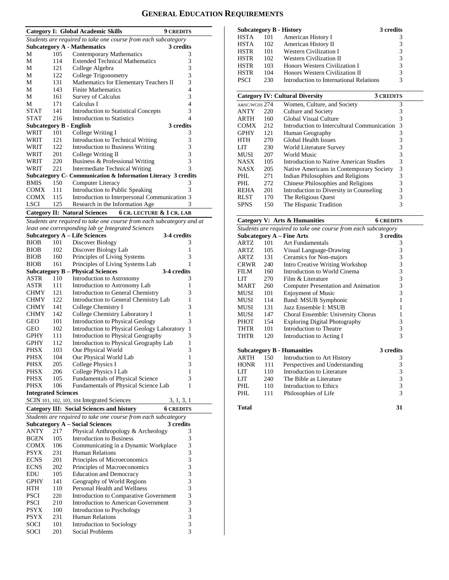# **GENERAL EDUCATION REQUIREMENTS**

|                                                                       |     | Category I: Global Academic Skills                                | <b>9 CREDITS</b> |  |  |  |
|-----------------------------------------------------------------------|-----|-------------------------------------------------------------------|------------------|--|--|--|
|                                                                       |     | Students are required to take one course from each subcategory    |                  |  |  |  |
|                                                                       |     | <b>Subcategory A - Mathematics</b>                                | 3 credits        |  |  |  |
| М                                                                     | 105 | Contemporary Mathematics                                          | 3                |  |  |  |
| М                                                                     | 114 | <b>Extended Technical Mathematics</b>                             | 3                |  |  |  |
| М                                                                     | 121 | College Algebra                                                   | 3                |  |  |  |
| М                                                                     | 122 | College Trigonometry                                              | 3                |  |  |  |
| М                                                                     | 131 | Mathematics for Elementary Teachers II                            | 3                |  |  |  |
| М                                                                     | 143 | <b>Finite Mathematics</b>                                         | $\overline{4}$   |  |  |  |
| М                                                                     | 161 | Survey of Calculus                                                | 3                |  |  |  |
| М                                                                     | 171 | Calculus I                                                        | 4                |  |  |  |
| <b>STAT</b>                                                           | 141 | <b>Introduction to Statistical Concepts</b>                       | 3                |  |  |  |
| <b>STAT</b>                                                           | 216 | Introduction to Statistics                                        | 4                |  |  |  |
|                                                                       |     | <b>Subcategory B - English</b>                                    | 3 credits        |  |  |  |
| WRIT                                                                  | 101 | College Writing I                                                 | 3                |  |  |  |
| WRIT                                                                  | 121 | Introduction to Technical Writing                                 | 3                |  |  |  |
| WRIT                                                                  | 122 | <b>Introduction to Business Writing</b>                           | 3                |  |  |  |
| WRIT                                                                  | 201 | College Writing II                                                | 3                |  |  |  |
| WRIT                                                                  | 220 | Business & Professional Writing                                   | 3                |  |  |  |
| <b>WRIT</b>                                                           | 221 | Intermediate Technical Writing                                    | $\mathcal{R}$    |  |  |  |
|                                                                       |     | Subcategory C- Communication & Information Literacy 3 credits     |                  |  |  |  |
| <b>BMIS</b>                                                           | 150 | Computer Literacy                                                 | 3                |  |  |  |
| COMX                                                                  | 111 | Introduction to Public Speaking                                   | 3                |  |  |  |
| <b>COMX</b>                                                           | 115 | Introduction to Interpersonal Communication 3                     |                  |  |  |  |
| <b>LSCI</b>                                                           | 125 | Research in the Information Age                                   | 3                |  |  |  |
|                                                                       |     | <b>Category II: Natural Sciences</b><br>6 CR. LECTURE & 1 CR. LAB |                  |  |  |  |
| Students are required to take one course from each subcategory and at |     |                                                                   |                  |  |  |  |

*least one corresponding lab or Integrated Sciences*

| 3-4 credits<br><b>Subcategory A – Life Sciences</b>            |                            |                                                  |                  |  |  |  |  |  |
|----------------------------------------------------------------|----------------------------|--------------------------------------------------|------------------|--|--|--|--|--|
| <b>BIOB</b>                                                    | 101                        | Discover Biology                                 | 3                |  |  |  |  |  |
| <b>BIOB</b>                                                    | 102                        | Discover Biology Lab                             | 1                |  |  |  |  |  |
| <b>BIOB</b>                                                    | 160                        | Principles of Living Systems                     | 3                |  |  |  |  |  |
| <b>BIOB</b>                                                    | 161                        | Principles of Living Systems Lab                 | 1                |  |  |  |  |  |
|                                                                |                            | <b>Subcategory B – Physical Sciences</b>         | 3-4 credits      |  |  |  |  |  |
| ASTR                                                           | 110                        | Introduction to Astronomy                        | 3                |  |  |  |  |  |
| ASTR                                                           | 111                        | Introduction to Astronomy Lab                    | 1                |  |  |  |  |  |
| <b>CHMY</b>                                                    | 121                        | Introduction to General Chemistry                | 3                |  |  |  |  |  |
| <b>CHMY</b>                                                    | 122                        | Introduction to General Chemistry Lab            | 1                |  |  |  |  |  |
| <b>CHMY</b>                                                    | 141                        | College Chemistry I                              | 3                |  |  |  |  |  |
| <b>CHMY</b>                                                    | 142                        | College Chemistry Laboratory I                   | 1                |  |  |  |  |  |
| <b>GEO</b>                                                     | 101                        | <b>Introduction to Physical Geology</b>          | 3                |  |  |  |  |  |
| GEO                                                            | 102                        | Introduction to Physical Geology Laboratory      | 1                |  |  |  |  |  |
| <b>GPHY</b>                                                    | 111                        | Introduction to Physical Geography               | 3                |  |  |  |  |  |
| <b>GPHY</b>                                                    | 112                        | Introduction to Physical Geography Lab           | 1                |  |  |  |  |  |
| PHSX                                                           | 103                        | Our Physical World                               | 3                |  |  |  |  |  |
| PHSX                                                           | 104                        | Our Physical World Lab                           | 1                |  |  |  |  |  |
| PHSX                                                           | 205                        | <b>College Physics I</b>                         | 3                |  |  |  |  |  |
| PHSX                                                           | 206                        | College Physics I Lab                            | 1                |  |  |  |  |  |
| <b>PHSX</b>                                                    | 105                        | <b>Fundamentals of Physical Science</b>          | 3                |  |  |  |  |  |
| <b>PHSX</b>                                                    | 106                        | Fundamentals of Physical Science Lab             | 1                |  |  |  |  |  |
|                                                                | <b>Integrated Sciences</b> |                                                  |                  |  |  |  |  |  |
|                                                                |                            | SCIN 101, 102, 103, 104 Integrated Sciences      | 3, 1, 3, 1       |  |  |  |  |  |
|                                                                |                            | <b>Category III: Social Sciences and history</b> | <b>6 CREDITS</b> |  |  |  |  |  |
| Students are required to take one course from each subcategory |                            |                                                  |                  |  |  |  |  |  |

| Suddents are required to take one course from each subcategory |     |                                        |           |  |  |  |
|----------------------------------------------------------------|-----|----------------------------------------|-----------|--|--|--|
|                                                                |     | <b>Subcategory A – Social Sciences</b> | 3 credits |  |  |  |
| <b>ANTY</b>                                                    | 217 | Physical Anthropology & Archeology     | 3         |  |  |  |
| <b>BGEN</b>                                                    | 105 | Introduction to Business               | 3         |  |  |  |
| <b>COMX</b>                                                    | 106 | Communicating in a Dynamic Workplace   | 3         |  |  |  |
| <b>PSYX</b>                                                    | 231 | <b>Human Relations</b>                 | 3         |  |  |  |
| <b>ECNS</b>                                                    | 201 | Principles of Microeconomics           | 3         |  |  |  |
| <b>ECNS</b>                                                    | 202 | Principles of Macroeconomics           | 3         |  |  |  |
| <b>EDU</b>                                                     | 105 | <b>Education and Democracy</b>         | 3         |  |  |  |
| <b>GPHY</b>                                                    | 141 | Geography of World Regions             | 3         |  |  |  |
| <b>HTH</b>                                                     | 110 | Personal Health and Wellness           | 3         |  |  |  |
| <b>PSCI</b>                                                    | 220 | Introduction to Comparative Government | 3         |  |  |  |
| <b>PSCI</b>                                                    | 210 | Introduction to American Government    | 3         |  |  |  |
| <b>PSYX</b>                                                    | 100 | Introduction to Psychology             | 3         |  |  |  |
| <b>PSYX</b>                                                    | 231 | <b>Human Relations</b>                 | 3         |  |  |  |
| <b>SOCI</b>                                                    | 101 | Introduction to Sociology              | 3         |  |  |  |
| SOCI                                                           | 201 | Social Problems                        | 3         |  |  |  |

|               |     | <b>Subcategory B - History</b><br>3 credits         |   |
|---------------|-----|-----------------------------------------------------|---|
| HSTA          | 101 | American History I                                  | 3 |
| <b>HSTA</b>   | 102 | American History II                                 | 3 |
| HSTR          | 101 | <b>Western Civilization I</b>                       | 3 |
| HSTR          | 102 | <b>Western Civilization II</b>                      | 3 |
| HSTR          | 103 | Honors Western Civilization I                       | 3 |
| HSTR          | 104 | Honors Western Civilization II                      | 3 |
| <b>PSCI</b>   | 230 | Introduction to International Relations             | 3 |
|               |     |                                                     |   |
|               |     | <b>Category IV: Cultural Diversity</b><br>3 CREDITS |   |
| A&SC/WGSS 274 |     | Women, Culture, and Society                         | 3 |
| ANTY          | 220 | Culture and Society                                 | 3 |
| ARTH          | 160 | Global Visual Culture                               | 3 |
| COMX          | 212 | Introduction to Intercultural Communication         | 3 |
| <b>GPHY</b>   | 121 | Human Geography                                     | 3 |
| HTH           | 270 | <b>Global Health Issues</b>                         | 3 |
| LIT           | 230 | World Literature Survey                             | 3 |
| MUSI          | 207 | World Music                                         | 3 |
| NASX          | 105 | Introduction to Native American Studies             | 3 |
| <b>NASX</b>   | 205 | Native Americans in Contemporary Society            | 3 |
| PHL           | 271 | Indian Philosophies and Religions                   | 3 |
| PHI.          | 272 | Chinese Philosophies and Religions                  | 3 |
| REHA          | 201 | Introduction to Diversity in Counseling             | 3 |
| <b>RLST</b>   | 170 | The Religious Quest                                 | 3 |
| <b>SPNS</b>   | 150 | The Hispanic Tradition                              | 3 |
|               |     |                                                     |   |

## **Category V: Arts & Humanities 6 CREDITS**

|                                                                |     | $\alpha$ $\beta$ $\beta$ , $\gamma$ and $\alpha$ maintained |           |  |  |  |
|----------------------------------------------------------------|-----|-------------------------------------------------------------|-----------|--|--|--|
| Students are required to take one course from each subcategory |     |                                                             |           |  |  |  |
|                                                                |     | <b>Subcategory A – Fine Arts</b>                            | 3 credits |  |  |  |
| <b>ARTZ</b>                                                    | 101 | Art Fundamentals                                            | 3         |  |  |  |
| <b>ARTZ</b>                                                    | 105 | Visual Language-Drawing                                     | 3         |  |  |  |
| ARTZ                                                           | 131 | Ceramics for Non-majors                                     | 3         |  |  |  |
| CRWR                                                           | 240 | <b>Intro Creative Writing Workshop</b>                      | 3         |  |  |  |
| <b>FILM</b>                                                    | 160 | Introduction to World Cinema                                | 3         |  |  |  |
| LIT                                                            | 270 | Film & Literature                                           | 3         |  |  |  |
| MART                                                           | 260 | Computer Presentation and Animation                         | 3         |  |  |  |
| <b>MUSI</b>                                                    | 101 | <b>Enjoyment of Music</b>                                   | 3         |  |  |  |
| MUSI                                                           | 114 | Band: MSUB Symphonic                                        | 1         |  |  |  |
| MUSI                                                           | 131 | Jazz Ensemble I: MSUB                                       | 1         |  |  |  |
| MUSI                                                           | 147 | Choral Ensemble: University Chorus                          | 1         |  |  |  |
| PHOT                                                           | 154 | <b>Exploring Digital Photography</b>                        | 3         |  |  |  |
| THTR                                                           | 101 | Introduction to Theatre                                     | 3         |  |  |  |
| <b>THTR</b>                                                    | 120 | Introduction to Acting I                                    | 3         |  |  |  |
|                                                                |     | <b>Subcategory B - Humanities</b>                           | 3 credits |  |  |  |
| <b>ARTH</b>                                                    | 150 | Introduction to Art History                                 | 3         |  |  |  |
| <b>HONR</b>                                                    | 111 | Perspectives and Understanding                              | 3         |  |  |  |
| <b>LIT</b>                                                     | 110 | Introduction to Literature                                  | 3         |  |  |  |
| LIT.                                                           | 240 | The Bible as Literature                                     | 3         |  |  |  |
| PHL.                                                           | 110 | Introduction to Ethics                                      | 3         |  |  |  |
| PHL                                                            | 111 | Philosophies of Life                                        | 3         |  |  |  |
| <b>Total</b>                                                   |     |                                                             | 31        |  |  |  |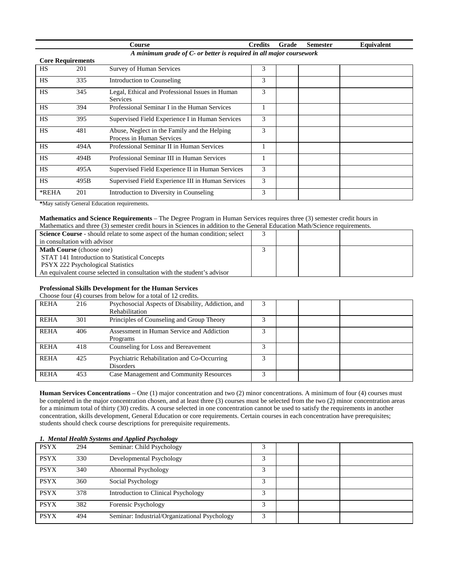|                          |      | Course                                                                    | <b>Credits</b> | Grade | <b>Semester</b> | Equivalent |
|--------------------------|------|---------------------------------------------------------------------------|----------------|-------|-----------------|------------|
|                          |      | A minimum grade of C- or better is required in all major coursework       |                |       |                 |            |
| <b>Core Requirements</b> |      |                                                                           |                |       |                 |            |
| <b>HS</b>                | 201  | <b>Survey of Human Services</b>                                           | 3              |       |                 |            |
| <b>HS</b>                | 335  | Introduction to Counseling                                                | 3              |       |                 |            |
| <b>HS</b>                | 345  | Legal, Ethical and Professional Issues in Human<br><b>Services</b>        | 3              |       |                 |            |
| <b>HS</b>                | 394  | Professional Seminar I in the Human Services                              | 1              |       |                 |            |
| <b>HS</b>                | 395  | Supervised Field Experience I in Human Services                           | 3              |       |                 |            |
| <b>HS</b>                | 481  | Abuse, Neglect in the Family and the Helping<br>Process in Human Services | 3              |       |                 |            |
| <b>HS</b>                | 494A | Professional Seminar II in Human Services                                 | 1              |       |                 |            |
| <b>HS</b>                | 494B | Professional Seminar III in Human Services                                | 1              |       |                 |            |
| <b>HS</b>                | 495A | Supervised Field Experience II in Human Services                          | 3              |       |                 |            |
| <b>HS</b>                | 495B | Supervised Field Experience III in Human Services                         | 3              |       |                 |            |
| *REHA                    | 201  | Introduction to Diversity in Counseling                                   | 3              |       |                 |            |

**\***May satisfy General Education requirements.

#### **Mathematics and Science Requirements** – The Degree Program in Human Services requires three (3) semester credit hours in Mathematics and three (3) semester credit hours in Sciences in addition to the General Education Math/Science requirements.

| <b>Science Course</b> - should relate to some aspect of the human condition; select |  |  |
|-------------------------------------------------------------------------------------|--|--|
| in consultation with advisor                                                        |  |  |
| <b>Math Course</b> (choose one)                                                     |  |  |
| STAT 141 Introduction to Statistical Concepts                                       |  |  |
| <b>PSYX 222 Psychological Statistics</b>                                            |  |  |
| An equivalent course selected in consultation with the student's advisor            |  |  |

### **Professional Skills Development for the Human Services**

Choose four (4) courses from below for a total of 12 credits.

| <b>REHA</b> | 216 | Psychosocial Aspects of Disability, Addiction, and<br><b>Rehabilitation</b> |   |  |  |
|-------------|-----|-----------------------------------------------------------------------------|---|--|--|
| <b>REHA</b> | 301 | Principles of Counseling and Group Theory                                   |   |  |  |
| <b>REHA</b> | 406 | Assessment in Human Service and Addiction<br>Programs                       |   |  |  |
| <b>REHA</b> | 418 | Counseling for Loss and Bereavement                                         |   |  |  |
| <b>REHA</b> | 425 | Psychiatric Rehabilitation and Co-Occurring<br>Disorders                    | 3 |  |  |
| <b>REHA</b> | 453 | Case Management and Community Resources                                     |   |  |  |

**Human Services Concentrations** – One (1) major concentration and two (2) minor concentrations. A minimum of four (4) courses must be completed in the major concentration chosen, and at least three (3) courses must be selected from the two (2) minor concentration areas for a minimum total of thirty (30) credits. A course selected in one concentration cannot be used to satisfy the requirements in another concentration, skills development, General Education or core requirements. Certain courses in each concentration have prerequisites; students should check course descriptions for prerequisite requirements.

| 1. Mental Health Systems and Applied Psychology |     |                                               |   |  |  |  |  |
|-------------------------------------------------|-----|-----------------------------------------------|---|--|--|--|--|
| <b>PSYX</b>                                     | 294 | Seminar: Child Psychology                     |   |  |  |  |  |
| <b>PSYX</b>                                     | 330 | Developmental Psychology                      | っ |  |  |  |  |
| <b>PSYX</b>                                     | 340 | Abnormal Psychology                           | ◠ |  |  |  |  |
| <b>PSYX</b>                                     | 360 | Social Psychology                             | 3 |  |  |  |  |
| <b>PSYX</b>                                     | 378 | Introduction to Clinical Psychology           | 3 |  |  |  |  |
| <b>PSYX</b>                                     | 382 | Forensic Psychology                           | 3 |  |  |  |  |
| <b>PSYX</b>                                     | 494 | Seminar: Industrial/Organizational Psychology |   |  |  |  |  |

### *1. Mental Health Systems and Applied Psychology*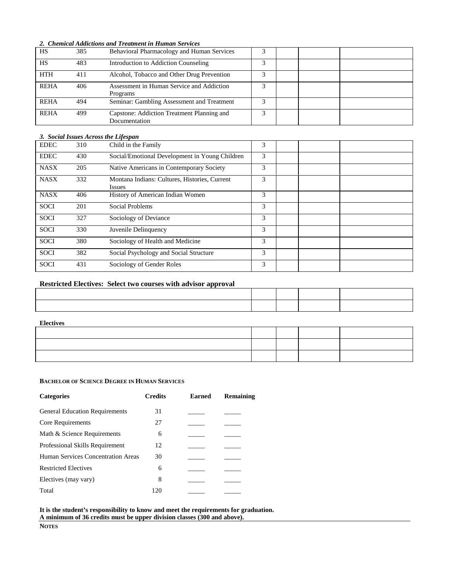#### *2. Chemical Addictions and Treatment in Human Services*

| HS          | 385 | Behavioral Pharmacology and Human Services |  |  |
|-------------|-----|--------------------------------------------|--|--|
| <b>HS</b>   | 483 | Introduction to Addiction Counseling       |  |  |
| <b>HTH</b>  | 411 | Alcohol, Tobacco and Other Drug Prevention |  |  |
| <b>REHA</b> | 406 | Assessment in Human Service and Addiction  |  |  |
|             |     | Programs                                   |  |  |
| <b>REHA</b> | 494 | Seminar: Gambling Assessment and Treatment |  |  |
| <b>REHA</b> | 499 | Capstone: Addiction Treatment Planning and |  |  |
|             |     | Documentation                              |  |  |

#### *3. Social Issues Across the Lifespan*

| <b>EDEC</b> | 310 | Child in the Family                                            | 3 |  |  |
|-------------|-----|----------------------------------------------------------------|---|--|--|
| <b>EDEC</b> | 430 | Social/Emotional Development in Young Children                 | 3 |  |  |
| <b>NASX</b> | 205 | Native Americans in Contemporary Society                       | 3 |  |  |
| <b>NASX</b> | 332 | Montana Indians: Cultures, Histories, Current<br><i>Issues</i> | 3 |  |  |
| <b>NASX</b> | 406 | History of American Indian Women                               | 3 |  |  |
| <b>SOCI</b> | 201 | Social Problems                                                | 3 |  |  |
| <b>SOCI</b> | 327 | Sociology of Deviance                                          | 3 |  |  |
| <b>SOCI</b> | 330 | Juvenile Delinquency                                           | 3 |  |  |
| <b>SOCI</b> | 380 | Sociology of Health and Medicine                               | 3 |  |  |
| <b>SOCI</b> | 382 | Social Psychology and Social Structure                         | 3 |  |  |
| <b>SOCI</b> | 431 | Sociology of Gender Roles                                      | 3 |  |  |

### **Restricted Electives: Select two courses with advisor approval**

#### **Electives**

### **BACHELOR OF SCIENCE DEGREE IN HUMAN SERVICES**

| <b>Categories</b>                     | <b>Credits</b> | <b>Earned</b> | <b>Remaining</b> |
|---------------------------------------|----------------|---------------|------------------|
| <b>General Education Requirements</b> | 31             |               |                  |
| Core Requirements                     | 27             |               |                  |
| Math & Science Requirements           | 6              |               |                  |
| Professional Skills Requirement       | 12             |               |                  |
| Human Services Concentration Areas    | 30             |               |                  |
| <b>Restricted Electives</b>           | 6              |               |                  |
| Electives (may vary)                  | 8              |               |                  |
| Total                                 | 120            |               |                  |

**It is the student's responsibility to know and meet the requirements for graduation. A minimum of 36 credits must be upper division classes (300 and above).**

**NOTES**